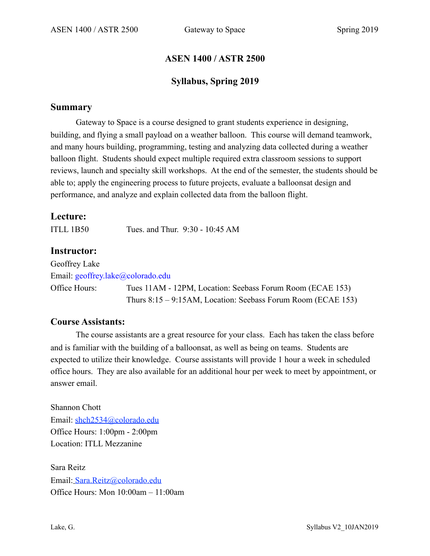### **ASEN 1400 / ASTR 2500**

### **Syllabus, Spring 2019**

#### **Summary**

Gateway to Space is a course designed to grant students experience in designing, building, and flying a small payload on a weather balloon. This course will demand teamwork, and many hours building, programming, testing and analyzing data collected during a weather balloon flight. Students should expect multiple required extra classroom sessions to support reviews, launch and specialty skill workshops. At the end of the semester, the students should be able to; apply the engineering process to future projects, evaluate a balloonsat design and performance, and analyze and explain collected data from the balloon flight.

### **Lecture:**

ITLL 1B50 Tues. and Thur. 9:30 - 10:45 AM

### **Instructor:**

Geoffrey Lake Email: geoffrey.lake@colorado.edu Office Hours: Tues 11AM - 12PM, Location: Seebass Forum Room (ECAE 153) Thurs 8:15 – 9:15AM, Location: Seebass Forum Room (ECAE 153)

#### **Course Assistants:**

The course assistants are a great resource for your class. Each has taken the class before and is familiar with the building of a balloonsat, as well as being on teams. Students are expected to utilize their knowledge. Course assistants will provide 1 hour a week in scheduled office hours. They are also available for an additional hour per week to meet by appointment, or answer email.

Shannon Chott Email: shch2534@colorado.edu Office Hours: 1:00pm - 2:00pm Location: ITLL Mezzanine

Sara Reitz Email: Sara.Reitz@colorado.edu Office Hours: Mon 10:00am – 11:00am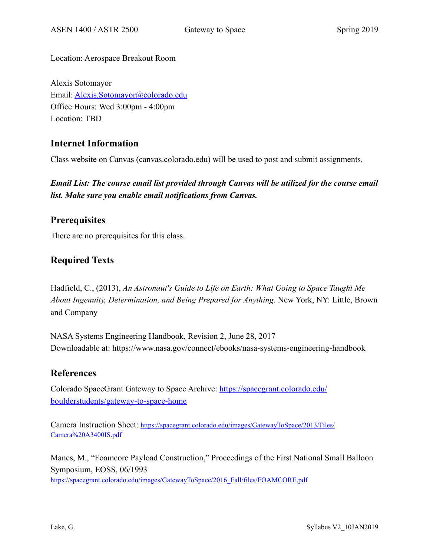Location: Aerospace Breakout Room

Alexis Sotomayor Email: [Alexis.Sotomayor@colorado.edu](mailto:Alexis.Sotomayor@colorado.edu) Office Hours: Wed 3:00pm - 4:00pm Location: TBD

# **Internet Information**

Class website on Canvas (canvas.colorado.edu) will be used to post and submit assignments.

*Email List: The course email list provided through Canvas will be utilized for the course email list. Make sure you enable email notifications from Canvas.* 

## **Prerequisites**

There are no prerequisites for this class.

# **Required Texts**

Hadfield, C., (2013), *An Astronaut's Guide to Life on Earth: What Going to Space Taught Me About Ingenuity, Determination, and Being Prepared for Anything.* New York, NY: Little, Brown and Company

NASA Systems Engineering Handbook, Revision 2, June 28, 2017 Downloadable at: https://www.nasa.gov/connect/ebooks/nasa-systems-engineering-handbook

### **References**

Colorado SpaceGrant Gateway to Space Archive: [https://spacegrant.colorado.edu/](https://spacegrant.colorado.edu/boulderstudents/gateway-to-space-home) [boulderstudents/gateway-to-space-home](https://spacegrant.colorado.edu/boulderstudents/gateway-to-space-home)

Camera Instruction Sheet: [https://spacegrant.colorado.edu/images/GatewayToSpace/2013/Files/](https://spacegrant.colorado.edu/images/GatewayToSpace/2013/Files/Camera%2520A3400IS.pdf) [Camera%20A3400IS.pdf](https://spacegrant.colorado.edu/images/GatewayToSpace/2013/Files/Camera%2520A3400IS.pdf)

Manes, M., "Foamcore Payload Construction," Proceedings of the First National Small Balloon Symposium, EOSS, 06/1993

[https://spacegrant.colorado.edu/images/GatewayToSpace/2016\\_Fall/files/FOAMCORE.pdf](https://spacegrant.colorado.edu/images/GatewayToSpace/2016_Fall/files/FOAMCORE.pdf)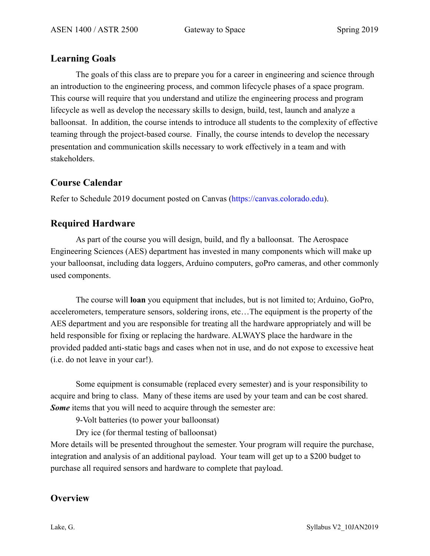### **Learning Goals**

The goals of this class are to prepare you for a career in engineering and science through an introduction to the engineering process, and common lifecycle phases of a space program. This course will require that you understand and utilize the engineering process and program lifecycle as well as develop the necessary skills to design, build, test, launch and analyze a balloonsat. In addition, the course intends to introduce all students to the complexity of effective teaming through the project-based course. Finally, the course intends to develop the necessary presentation and communication skills necessary to work effectively in a team and with stakeholders.

# **Course Calendar**

Refer to Schedule 2019 document posted on Canvas (https://canvas.colorado.edu).

# **Required Hardware**

As part of the course you will design, build, and fly a balloonsat. The Aerospace Engineering Sciences (AES) department has invested in many components which will make up your balloonsat, including data loggers, Arduino computers, goPro cameras, and other commonly used components.

The course will **loan** you equipment that includes, but is not limited to; Arduino, GoPro, accelerometers, temperature sensors, soldering irons, etc…The equipment is the property of the AES department and you are responsible for treating all the hardware appropriately and will be held responsible for fixing or replacing the hardware. ALWAYS place the hardware in the provided padded anti-static bags and cases when not in use, and do not expose to excessive heat (i.e. do not leave in your car!).

 Some equipment is consumable (replaced every semester) and is your responsibility to acquire and bring to class. Many of these items are used by your team and can be cost shared. *Some* items that you will need to acquire through the semester are:

9-Volt batteries (to power your balloonsat)

Dry ice (for thermal testing of balloonsat)

More details will be presented throughout the semester. Your program will require the purchase, integration and analysis of an additional payload. Your team will get up to a \$200 budget to purchase all required sensors and hardware to complete that payload.

### **Overview**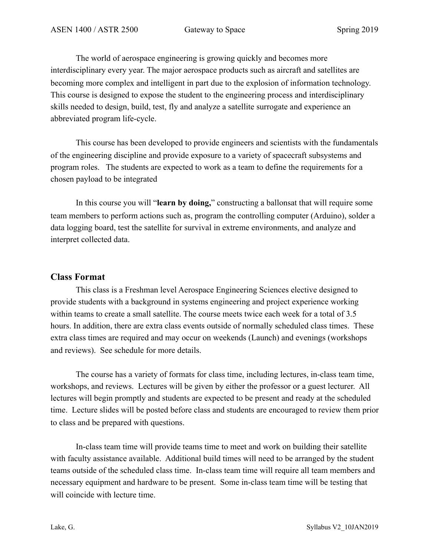The world of aerospace engineering is growing quickly and becomes more interdisciplinary every year. The major aerospace products such as aircraft and satellites are becoming more complex and intelligent in part due to the explosion of information technology. This course is designed to expose the student to the engineering process and interdisciplinary skills needed to design, build, test, fly and analyze a satellite surrogate and experience an abbreviated program life-cycle.

This course has been developed to provide engineers and scientists with the fundamentals of the engineering discipline and provide exposure to a variety of spacecraft subsystems and program roles. The students are expected to work as a team to define the requirements for a chosen payload to be integrated

In this course you will "**learn by doing,**" constructing a ballonsat that will require some team members to perform actions such as, program the controlling computer (Arduino), solder a data logging board, test the satellite for survival in extreme environments, and analyze and interpret collected data.

#### **Class Format**

This class is a Freshman level Aerospace Engineering Sciences elective designed to provide students with a background in systems engineering and project experience working within teams to create a small satellite. The course meets twice each week for a total of 3.5 hours. In addition, there are extra class events outside of normally scheduled class times. These extra class times are required and may occur on weekends (Launch) and evenings (workshops and reviews). See schedule for more details.

The course has a variety of formats for class time, including lectures, in-class team time, workshops, and reviews. Lectures will be given by either the professor or a guest lecturer. All lectures will begin promptly and students are expected to be present and ready at the scheduled time. Lecture slides will be posted before class and students are encouraged to review them prior to class and be prepared with questions.

In-class team time will provide teams time to meet and work on building their satellite with faculty assistance available. Additional build times will need to be arranged by the student teams outside of the scheduled class time. In-class team time will require all team members and necessary equipment and hardware to be present. Some in-class team time will be testing that will coincide with lecture time.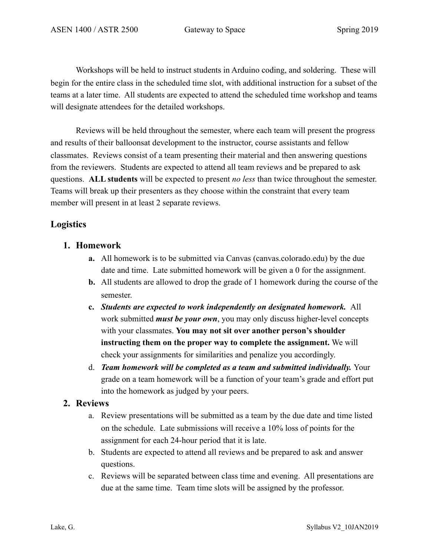Workshops will be held to instruct students in Arduino coding, and soldering. These will begin for the entire class in the scheduled time slot, with additional instruction for a subset of the teams at a later time. All students are expected to attend the scheduled time workshop and teams will designate attendees for the detailed workshops.

Reviews will be held throughout the semester, where each team will present the progress and results of their balloonsat development to the instructor, course assistants and fellow classmates. Reviews consist of a team presenting their material and then answering questions from the reviewers. Students are expected to attend all team reviews and be prepared to ask questions. **ALL students** will be expected to present *no less* than twice throughout the semester. Teams will break up their presenters as they choose within the constraint that every team member will present in at least 2 separate reviews.

### **Logistics**

- **1. Homework** 
	- **a.** All homework is to be submitted via Canvas (canvas.colorado.edu) by the due date and time. Late submitted homework will be given a 0 for the assignment.
	- **b.** All students are allowed to drop the grade of 1 homework during the course of the semester.
	- **c.** *Students are expected to work independently on designated homework.* All work submitted *must be your own*, you may only discuss higher-level concepts with your classmates. **You may not sit over another person's shoulder instructing them on the proper way to complete the assignment.** We will check your assignments for similarities and penalize you accordingly.
	- d. *Team homework will be completed as a team and submitted individually.* Your grade on a team homework will be a function of your team's grade and effort put into the homework as judged by your peers.

#### **2. Reviews**

- a. Review presentations will be submitted as a team by the due date and time listed on the schedule. Late submissions will receive a 10% loss of points for the assignment for each 24-hour period that it is late.
- b. Students are expected to attend all reviews and be prepared to ask and answer questions.
- c. Reviews will be separated between class time and evening. All presentations are due at the same time. Team time slots will be assigned by the professor.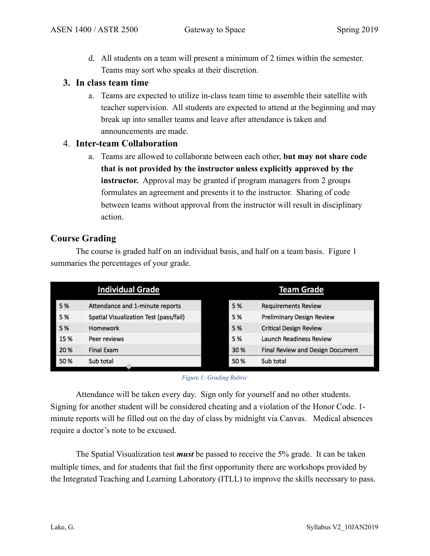d. All students on a team will present a minimum of 2 times within the semester. Teams may sort who speaks at their discretion.

#### **3. In class team time**

a. Teams are expected to utilize in-class team time to assemble their satellite with teacher supervision. All students are expected to attend at the beginning and may break up into smaller teams and leave after attendance is taken and announcements are made.

#### 4. **Inter-team Collaboration**

a. Teams are allowed to collaborate between each other, **but may not share code that is not provided by the instructor unless explicitly approved by the instructor.** Approval may be granted if program managers from 2 groups formulates an agreement and presents it to the instructor. Sharing of code between teams without approval from the instructor will result in disciplinary action.

### **Course Grading**

 The course is graded half on an individual basis, and half on a team basis. [Figure 1](#page-5-0) summaries the percentages of your grade.

|      | <b>Individual Grade</b>                |      | <b>Team Grade</b>                       |
|------|----------------------------------------|------|-----------------------------------------|
| 5 %  | Attendance and 1-minute reports        | 5%   | <b>Requirements Review</b>              |
| 5 %  | Spatial Visualization Test (pass/fail) | 5 %  | <b>Preliminary Design Review</b>        |
| 5 %  | <b>Homework</b>                        | 5 %  | <b>Critical Design Review</b>           |
| 15 % | Peer reviews                           | 5 %  | <b>Launch Readiness Review</b>          |
| 20 % | <b>Final Exam</b>                      | 30 % | <b>Final Review and Design Document</b> |
| 50 % | Sub total                              | 50 % | Sub total                               |

#### <span id="page-5-0"></span>*Figure 1: Grading Rubric*

 Attendance will be taken every day. Sign only for yourself and no other students. Signing for another student will be considered cheating and a violation of the Honor Code. 1 minute reports will be filled out on the day of class by midnight via Canvas. Medical absences require a doctor's note to be excused.

 The Spatial Visualization test *must* be passed to receive the 5% grade. It can be taken multiple times, and for students that fail the first opportunity there are workshops provided by the Integrated Teaching and Learning Laboratory (ITLL) to improve the skills necessary to pass.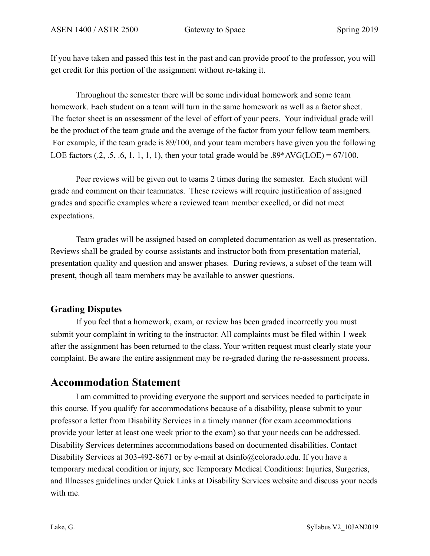If you have taken and passed this test in the past and can provide proof to the professor, you will get credit for this portion of the assignment without re-taking it.

Throughout the semester there will be some individual homework and some team homework. Each student on a team will turn in the same homework as well as a factor sheet. The factor sheet is an assessment of the level of effort of your peers. Your individual grade will be the product of the team grade and the average of the factor from your fellow team members. For example, if the team grade is 89/100, and your team members have given you the following LOE factors  $(.2, .5, .6, 1, 1, 1, 1)$ , then your total grade would be  $.89*AVG(LOE) = 67/100$ .

 Peer reviews will be given out to teams 2 times during the semester. Each student will grade and comment on their teammates. These reviews will require justification of assigned grades and specific examples where a reviewed team member excelled, or did not meet expectations.

 Team grades will be assigned based on completed documentation as well as presentation. Reviews shall be graded by course assistants and instructor both from presentation material, presentation quality and question and answer phases. During reviews, a subset of the team will present, though all team members may be available to answer questions.

### **Grading Disputes**

If you feel that a homework, exam, or review has been graded incorrectly you must submit your complaint in writing to the instructor. All complaints must be filed within 1 week after the assignment has been returned to the class. Your written request must clearly state your complaint. Be aware the entire assignment may be re-graded during the re-assessment process.

# **Accommodation Statement**

I am committed to providing everyone the support and services needed to participate in this course. If you qualify for accommodations because of a disability, please submit to your professor a letter from Disability Services in a timely manner (for exam accommodations provide your letter at least one week prior to the exam) so that your needs can be addressed. Disability Services determines accommodations based on documented disabilities. Contact Disability Services at 303-492-8671 or by e-mail at dsinfo@colorado.edu. If you have a temporary medical condition or injury, see Temporary Medical Conditions: Injuries, Surgeries, and Illnesses guidelines under Quick Links at Disability Services website and discuss your needs with me.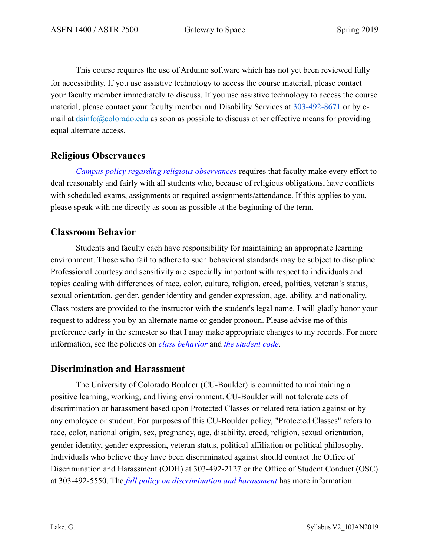This course requires the use of Arduino software which has not yet been reviewed fully for accessibility. If you use assistive technology to access the course material, please contact your faculty member immediately to discuss. If you use assistive technology to access the course material, please contact your faculty member and Disability Services at 303-492-8671 or by email at dsinfo@colorado.edu as soon as possible to discuss other effective means for providing equal alternate access.

### **Religious Observances**

*Campus policy regarding religious observances* requires that faculty make every effort to deal reasonably and fairly with all students who, because of religious obligations, have conflicts with scheduled exams, assignments or required assignments/attendance. If this applies to you, please speak with me directly as soon as possible at the beginning of the term.

### **Classroom Behavior**

Students and faculty each have responsibility for maintaining an appropriate learning environment. Those who fail to adhere to such behavioral standards may be subject to discipline. Professional courtesy and sensitivity are especially important with respect to individuals and topics dealing with differences of race, color, culture, religion, creed, politics, veteran's status, sexual orientation, gender, gender identity and gender expression, age, ability, and nationality. Class rosters are provided to the instructor with the student's legal name. I will gladly honor your request to address you by an alternate name or gender pronoun. Please advise me of this preference early in the semester so that I may make appropriate changes to my records. For more information, see the policies on *class behavior* and *the student code*.

#### **Discrimination and Harassment**

The University of Colorado Boulder (CU-Boulder) is committed to maintaining a positive learning, working, and living environment. CU-Boulder will not tolerate acts of discrimination or harassment based upon Protected Classes or related retaliation against or by any employee or student. For purposes of this CU-Boulder policy, "Protected Classes" refers to race, color, national origin, sex, pregnancy, age, disability, creed, religion, sexual orientation, gender identity, gender expression, veteran status, political affiliation or political philosophy. Individuals who believe they have been discriminated against should contact the Office of Discrimination and Harassment (ODH) at 303-492-2127 or the Office of Student Conduct (OSC) at 303-492-5550. The *full policy on discrimination and harassment* has more information.